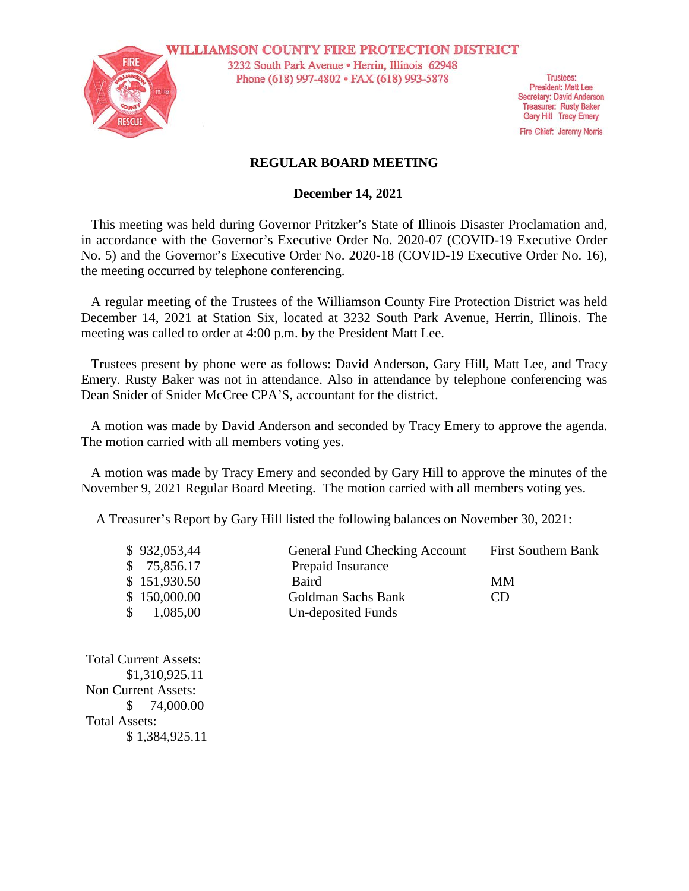

**WILLIAMSON COUNTY FIRE PROTECTION DISTRICT** 3232 South Park Avenue · Herrin, Illinois 62948 Phone (618) 997-4802 • FAX (618) 993-5878

**Trustees: President: Matt Lee** Secretary: David Anderson **Treasurer: Rusty Baker** Gary Hill Tracy Emery

Fire Chief: Jeremy Norris

## **REGULAR BOARD MEETING**

## **December 14, 2021**

This meeting was held during Governor Pritzker's State of Illinois Disaster Proclamation and, in accordance with the Governor's Executive Order No. 2020-07 (COVID-19 Executive Order No. 5) and the Governor's Executive Order No. 2020-18 (COVID-19 Executive Order No. 16), the meeting occurred by telephone conferencing.

A regular meeting of the Trustees of the Williamson County Fire Protection District was held December 14, 2021 at Station Six, located at 3232 South Park Avenue, Herrin, Illinois. The meeting was called to order at 4:00 p.m. by the President Matt Lee.

Trustees present by phone were as follows: David Anderson, Gary Hill, Matt Lee, and Tracy Emery. Rusty Baker was not in attendance. Also in attendance by telephone conferencing was Dean Snider of Snider McCree CPA'S, accountant for the district.

A motion was made by David Anderson and seconded by Tracy Emery to approve the agenda. The motion carried with all members voting yes.

A motion was made by Tracy Emery and seconded by Gary Hill to approve the minutes of the November 9, 2021 Regular Board Meeting. The motion carried with all members voting yes.

A Treasurer's Report by Gary Hill listed the following balances on November 30, 2021:

| \$932,053,44 | <b>General Fund Checking Account</b> | <b>First Southern Bank</b> |
|--------------|--------------------------------------|----------------------------|
| \$75,856.17  | Prepaid Insurance                    |                            |
| \$151,930.50 | Baird                                | MМ                         |
| \$150,000.00 | Goldman Sachs Bank                   | CD.                        |
| 1,085,00     | Un-deposited Funds                   |                            |

Total Current Assets: \$1,310,925.11 Non Current Assets: \$ 74,000.00 Total Assets: \$ 1,384,925.11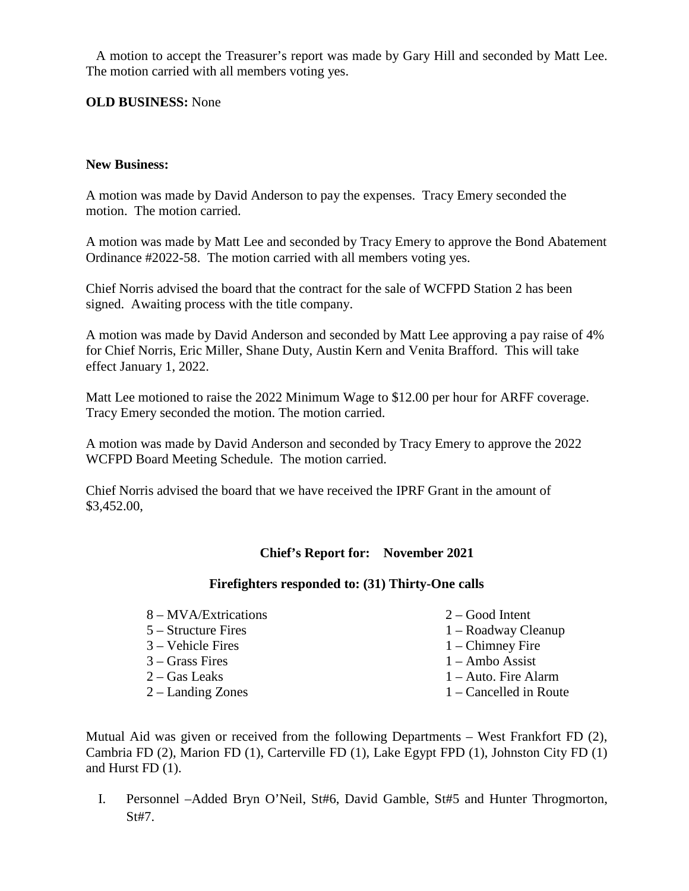A motion to accept the Treasurer's report was made by Gary Hill and seconded by Matt Lee. The motion carried with all members voting yes.

## **OLD BUSINESS:** None

#### **New Business:**

A motion was made by David Anderson to pay the expenses. Tracy Emery seconded the motion. The motion carried.

A motion was made by Matt Lee and seconded by Tracy Emery to approve the Bond Abatement Ordinance #2022-58. The motion carried with all members voting yes.

Chief Norris advised the board that the contract for the sale of WCFPD Station 2 has been signed. Awaiting process with the title company.

A motion was made by David Anderson and seconded by Matt Lee approving a pay raise of 4% for Chief Norris, Eric Miller, Shane Duty, Austin Kern and Venita Brafford. This will take effect January 1, 2022.

Matt Lee motioned to raise the 2022 Minimum Wage to \$12.00 per hour for ARFF coverage. Tracy Emery seconded the motion. The motion carried.

A motion was made by David Anderson and seconded by Tracy Emery to approve the 2022 WCFPD Board Meeting Schedule. The motion carried.

Chief Norris advised the board that we have received the IPRF Grant in the amount of \$3,452.00,

# **Chief's Report for: November 2021**

#### **Firefighters responded to: (31) Thirty-One calls**

- 8 MVA/Extrications
- 5 Structure Fires
- 3 Vehicle Fires
- 3 Grass Fires
- 2 Gas Leaks
- 2 Landing Zones
- 2 Good Intent
- 1 Roadway Cleanup
- 1 Chimney Fire
- 1 Ambo Assist
- 1 Auto. Fire Alarm
- 1 Cancelled in Route

Mutual Aid was given or received from the following Departments – West Frankfort FD (2), Cambria FD (2), Marion FD (1), Carterville FD (1), Lake Egypt FPD (1), Johnston City FD (1) and Hurst FD (1).

I. Personnel –Added Bryn O'Neil, St#6, David Gamble, St#5 and Hunter Throgmorton, St#7.